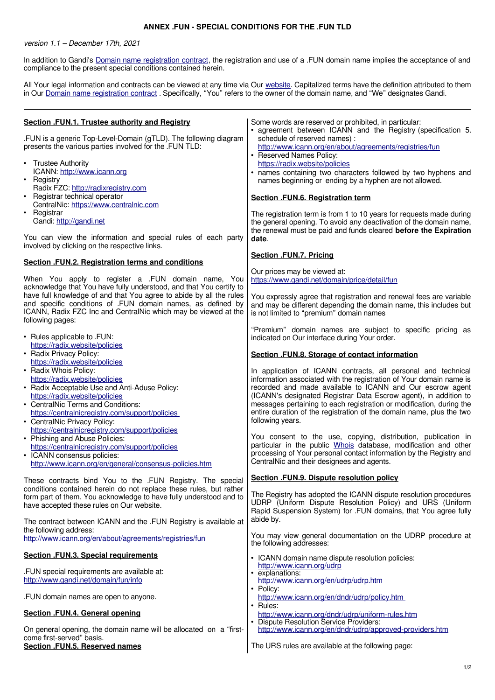## **ANNEX .FUN - SPECIAL CONDITIONS FOR THE .FUN TLD**

version 1.1 – December 17th, 2021

In addition to Gandi's [Domain name registration contract,](https://www.gandi.net/en/contracts/terms-of-service) the registration and use of a .FUN domain name implies the acceptance of and compliance to the present special conditions contained herein.

All Your legal information and contracts can be viewed at any time via Our website. Capitalized terms have the definition attributed to them in Our [Domain name registration contract](https://www.gandi.net/en/contracts/terms-of-service) . Specifically, "You" refers to the owner of the domain name, and "We" designates Gandi.

| Section .FUN.1. Trustee authority and Registry                                                                                           | Some words are reserved or prohibited, in particular:                                                                                        |
|------------------------------------------------------------------------------------------------------------------------------------------|----------------------------------------------------------------------------------------------------------------------------------------------|
| .FUN is a generic Top-Level-Domain (gTLD). The following diagram                                                                         | • agreement between ICANN and the Registry (specification 5.<br>schedule of reserved names) :                                                |
| presents the various parties involved for the .FUN TLD:                                                                                  | http://www.icann.org/en/about/agreements/registries/fun<br>• Reserved Names Policy:                                                          |
| <b>Trustee Authority</b><br>٠                                                                                                            | https://radix.website/policies                                                                                                               |
| ICANN: http://www.icann.org<br>Registry<br>$\bullet$                                                                                     | • names containing two characters followed by two hyphens and<br>names beginning or ending by a hyphen are not allowed.                      |
| Radix FZC: http://radixregistry.com<br>Registrar technical operator<br>$\bullet$                                                         |                                                                                                                                              |
| CentralNic: https://www.centralnic.com                                                                                                   | Section .FUN.6. Registration term                                                                                                            |
| Registrar<br>$\bullet$<br>Gandi: http://gandi.net                                                                                        | The registration term is from 1 to 10 years for requests made during<br>the general opening. To avoid any deactivation of the domain name,   |
| You can view the information and special rules of each party                                                                             | the renewal must be paid and funds cleared before the Expiration                                                                             |
| involved by clicking on the respective links.                                                                                            | date.                                                                                                                                        |
| Section .FUN.2. Registration terms and conditions                                                                                        | <b>Section .FUN.7. Pricing</b>                                                                                                               |
| When You apply to register a .FUN domain name, You                                                                                       | Our prices may be viewed at:<br>https://www.gandi.net/domain/price/detail/fun                                                                |
| acknowledge that You have fully understood, and that You certify to                                                                      |                                                                                                                                              |
| have full knowledge of and that You agree to abide by all the rules<br>and specific conditions of .FUN domain names, as defined by       | You expressly agree that registration and renewal fees are variable<br>and may be different depending the domain name, this includes but     |
| ICANN, Radix FZC Inc and CentralNic which may be viewed at the<br>following pages:                                                       | is not limited to "premium" domain names                                                                                                     |
|                                                                                                                                          | "Premium" domain names are subject to specific pricing as                                                                                    |
| • Rules applicable to .FUN:<br>https://radix.website/policies                                                                            | indicated on Our interface during Your order.                                                                                                |
| • Radix Privacy Policy:<br>https://radix.website/policies                                                                                | Section .FUN.8. Storage of contact information                                                                                               |
| • Radix Whois Policy:                                                                                                                    | In application of ICANN contracts, all personal and technical                                                                                |
| https://radix.website/policies<br>• Radix Acceptable Use and Anti-Aduse Policy:                                                          | information associated with the registration of Your domain name is<br>recorded and made available to ICANN and Our escrow agent             |
| https://radix.website/policies                                                                                                           | (ICANN's designated Registrar Data Escrow agent), in addition to                                                                             |
| • CentralNic Terms and Conditions:<br>https://centralnicregistry.com/support/policies                                                    | messages pertaining to each registration or modification, during the<br>entire duration of the registration of the domain name, plus the two |
| • CentralNic Privacy Policy:<br>https://centralnicregistry.com/support/policies                                                          | following years.                                                                                                                             |
| • Phishing and Abuse Policies:                                                                                                           | You consent to the use, copying, distribution, publication in                                                                                |
| https://centralnicregistry.com/support/policies<br>• ICANN consensus policies:                                                           | particular in the public Whois database, modification and other<br>processing of Your personal contact information by the Registry and       |
| http://www.icann.org/en/general/consensus-policies.htm                                                                                   | CentralNic and their designees and agents.                                                                                                   |
| These contracts bind You to the .FUN Registry. The special                                                                               | Section .FUN.9. Dispute resolution policy                                                                                                    |
| conditions contained herein do not replace these rules, but rather<br>form part of them. You acknowledge to have fully understood and to | The Registry has adopted the ICANN dispute resolution procedures                                                                             |
| have accepted these rules on Our website.                                                                                                | UDRP (Uniform Dispute Resolution Policy) and URS (Uniform<br>Rapid Suspension System) for .FUN domains, that You agree fully                 |
| The contract between ICANN and the .FUN Registry is available at                                                                         | abide by.                                                                                                                                    |
| the following address:<br>http://www.icann.org/en/about/agreements/registries/fun                                                        | You may view general documentation on the UDRP procedure at<br>the following addresses:                                                      |
| <b>Section .FUN.3. Special requirements</b>                                                                                              | • ICANN domain name dispute resolution policies:                                                                                             |
| .FUN special requirements are available at:                                                                                              | http://www.icann.org/udrp<br>• explanations:                                                                                                 |
| http://www.gandi.net/domain/fun/info                                                                                                     | http://www.icann.org/en/udrp/udrp.htm<br>• Policy:                                                                                           |
| .FUN domain names are open to anyone.                                                                                                    | http://www.icann.org/en/dndr/udrp/policy.htm<br>• Rules:                                                                                     |
| Section .FUN.4. General opening                                                                                                          | http://www.icann.org/dndr/udrp/uniform-rules.htm                                                                                             |
| On general opening, the domain name will be allocated on a "first-                                                                       | • Dispute Resolution Service Providers:<br>http://www.icann.org/en/dndr/udrp/approved-providers.htm                                          |
| come first-served" basis.<br>Section .FUN.5. Reserved names                                                                              | The URS rules are available at the following page:                                                                                           |